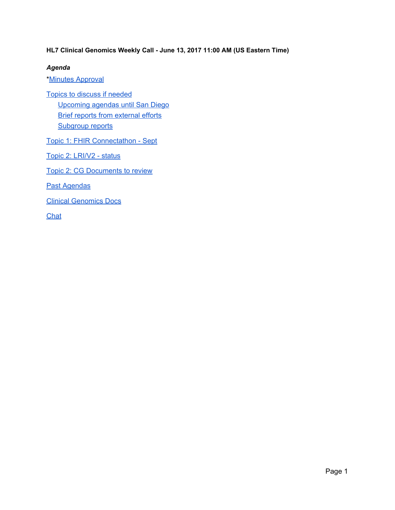**HL7 Clinical Genomics Weekly Call - June 13, 2017 11:00 AM (US Eastern Time)**

#### *Agenda*

\*Minutes [Approval](#page-1-1)

Topics to discuss if [needed](#page-1-2) [Upcoming](#page-1-0) agendas until San Diego Brief reports from [external](#page-2-0) efforts [Subgroup](#page-3-2) reports

Topic 1: FHIR [Connectathon](#page-3-0) - Sept

Topic 2: [LRI/V2](#page-3-1) - status

Topic 2: CG [Documents](#page-9-2) to review

Past [Agendas](#page-9-1)

Clinical [Genomics](#page-9-0) Docs

**[Chat](#page-10-0)**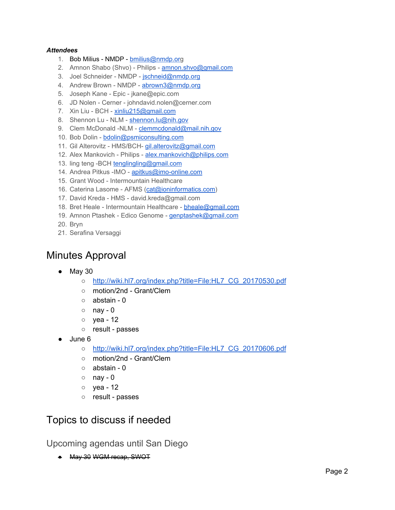#### *Attendees*

- 1. Bob Milius NMDP [bmilius@nmdp.org](mailto:bmilius@nmdp.org)
- 2. Amnon Shabo (Shvo) Philips [amnon.shvo@gmail.com](mailto:amnon.shvo@gmail.com)
- 3. Joel Schneider NMDP [jschneid@nmdp.org](mailto:jschneid@nmdp.org)
- 4. Andrew Brown NMDP [abrown3@nmdp.org](mailto:abrown3@nmdp.org)
- 5. Joseph Kane Epic jkane@epic.com
- 6. JD Nolen Cerner johndavid.nolen@cerner.com
- 7. Xin Liu BCH [xinliu215@gmail.com](mailto:xinliu215@gmail.com)
- 8. Shennon Lu NLM [shennon.lu@nih.gov](mailto:shennon.lu@nih.gov)
- 9. Clem McDonald -NLM [clemmcdonald@mail.nih.gov](mailto:clemmcdonald@mail.nih.gov)
- 10. Bob Dolin [bdolin@psmiconsulting.com](mailto:bdolin@psmiconsulting.com)
- 11. Gil Alterovitz HMS/BCH- [gil.alterovitz@gmail.com](mailto:gil.alterovitz@gmail.com)
- 12. Alex Mankovich Philips [alex.mankovich@philips.com](mailto:alex.mankovich@philips.com)
- 13. ling teng -BCH [tenglingling@gmail.com](mailto:tenglingling@gmail.com)
- 14. Andrea Pitkus -IMO [apitkus@imo-online.com](mailto:apitkus@imo-online.com)
- 15. Grant Wood Intermountain Healthcare
- 16. Caterina Lasome AFMS [\(cat@ioninformatics.com\)](mailto:cat@ioninformatics.com)
- 17. David Kreda HMS david.kreda@gmail.com
- 18. Bret Heale Intermountain Healthcare [bheale@gmail.com](mailto:bheale@gmail.com)
- 19. Amnon Ptashek Edico Genome [genptashek@gmail.com](mailto:genptashek@gmail.com)
- 20. Bryn
- 21. Serafina Versaggi

## <span id="page-1-1"></span>Minutes Approval

- May 30
	- [http://wiki.hl7.org/index.php?title=File:HL7\\_CG\\_20170530.pdf](http://wiki.hl7.org/index.php?title=File:HL7_CG_20170530.pdf)
	- motion/2nd Grant/Clem
	- abstain 0
	- $\circ$  nay 0
	- yea 12
	- result passes
- June 6
	- [http://wiki.hl7.org/index.php?title=File:HL7\\_CG\\_20170606.pdf](http://wiki.hl7.org/index.php?title=File:HL7_CG_20170606.pdf)
	- motion/2nd Grant/Clem
	- abstain 0
	- $\circ$  nay 0
	- yea 12
	- result passes

# <span id="page-1-2"></span>Topics to discuss if needed

<span id="page-1-0"></span>Upcoming agendas until San Diego

● May 30 WGM recap, SWOT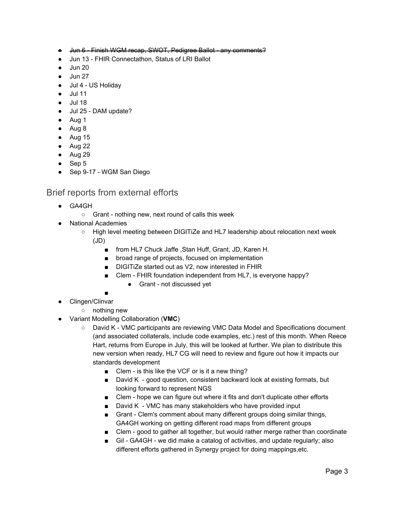- Jun 6 Finish WGM recap, SWOT, Pedigree Ballot any comments?
- Jun 13 FHIR Connectathon, Status of LRI Ballot
- Jun 20
- **Jun 27**
- Jul 4 US Holiday
- Jul 11
- Jul 18
- Jul 25 DAM update?
- Aug 1
- Aug 8
- Aug 15
- $\bullet$  Aug 22
- Aug 29
- Sep 5
- Sep 9-17 WGM San Diego

### <span id="page-2-0"></span>Brief reports from external efforts

- GA4GH
	- Grant nothing new, next round of calls this week
- **National Academies** 
	- High level meeting between DIGITiZe and HL7 leadership about relocation next week (JD)
		- from HL7 Chuck Jaffe , Stan Huff, Grant, JD, Karen H.
		- broad range of projects, focused on implementation
		- DIGITiZe started out as V2, now interested in FHIR
		- Clem FHIR foundation independent from HL7, is everyone happy?
			- Grant not discussed yet
		- ■
- Clingen/Clinvar
	- nothing new
- Variant Modelling Collaboration (**VMC**)
	- David K VMC participants are reviewing VMC Data Model and Specifications document (and associated collaterals, include code examples, etc.) rest of this month. When Reece Hart, returns from Europe in July, this will be looked at further. We plan to distribute this new version when ready, HL7 CG will need to review and figure out how it impacts our standards development
		- Clem is this like the VCF or is it a new thing?
		- David K good question, consistent backward look at existing formats, but looking forward to represent NGS
		- Clem hope we can figure out where it fits and don't duplicate other efforts
		- David K VMC has many stakeholders who have provided input
		- Grant Clem's comment about many different groups doing similar things, GA4GH working on getting different road maps from different groups
		- Clem good to gather all together, but would rather merge rather than coordinate
		- Gil GA4GH we did make a catalog of activities, and update regularly; also different efforts gathered in Synergy project for doing mappings,etc.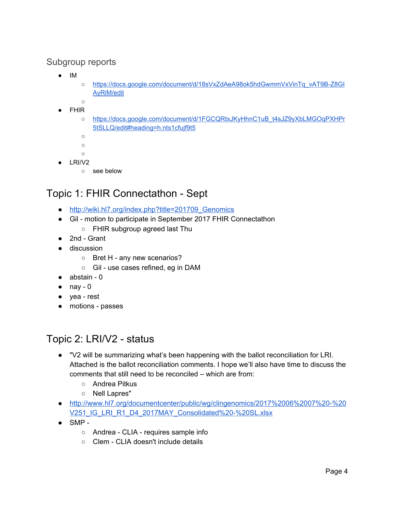### <span id="page-3-2"></span>Subgroup reports

- IM
- [https://docs.google.com/document/d/18sVxZdAeA98ok5hdGwmmVxVinTq\\_vAT9B-Z8GI](https://docs.google.com/document/d/18sVxZdAeA98ok5hdGwmmVxVinTq_vAT9B-Z8GIAyRiM/edit) [AyRiM/edit](https://docs.google.com/document/d/18sVxZdAeA98ok5hdGwmmVxVinTq_vAT9B-Z8GIAyRiM/edit)
- $\circ$
- **FHIR** 
	- [https://docs.google.com/document/d/1FGCQRtxJKyHhnC1uB\\_t4sJZ9yXbLMGOqPXHPr](https://docs.google.com/document/d/1FGCQRtxJKyHhnC1uB_t4sJZ9yXbLMGOqPXHPr5tSLLQ/edit#heading=h.nts1cfujf9t5) [5tSLLQ/edit#heading=h.nts1cfujf9t5](https://docs.google.com/document/d/1FGCQRtxJKyHhnC1uB_t4sJZ9yXbLMGOqPXHPr5tSLLQ/edit#heading=h.nts1cfujf9t5)
	- ○
	- $\circ$
	- ○
- $\bullet$  LRI/V2
	- see below

# <span id="page-3-0"></span>Topic 1: FHIR Connectathon - Sept

- [http://wiki.hl7.org/index.php?title=201709\\_Genomics](http://wiki.hl7.org/index.php?title=FHIR_Connectathon_16)
- Gil motion to participate in September 2017 FHIR Connectathon
	- FHIR subgroup agreed last Thu
- 2nd Grant
- discussion
	- Bret H any new scenarios?
	- Gil use cases refined, eg in DAM
- abstain 0
- $\bullet$  nay 0
- yea rest
- motions passes

# <span id="page-3-1"></span>Topic 2: LRI/V2 - status

- "V2 will be summarizing what's been happening with the ballot reconciliation for LRI. Attached is the ballot reconciliation comments. I hope we'll also have time to discuss the comments that still need to be reconciled – which are from:
	- Andrea Pitkus
	- Nell Lapres"
- [http://www.hl7.org/documentcenter/public/wg/clingenomics/2017%2006%2007%20-%20](http://www.hl7.org/documentcenter/public/wg/clingenomics/2017%2006%2007%20-%20V251_IG_LRI_R1_D4_2017MAY_Consolidated%20-%20SL.xlsx) [V251\\_IG\\_LRI\\_R1\\_D4\\_2017MAY\\_Consolidated%20-%20SL.xlsx](http://www.hl7.org/documentcenter/public/wg/clingenomics/2017%2006%2007%20-%20V251_IG_LRI_R1_D4_2017MAY_Consolidated%20-%20SL.xlsx)
- $\bullet$  SMP -
	- Andrea CLIA requires sample info
	- Clem CLIA doesn't include details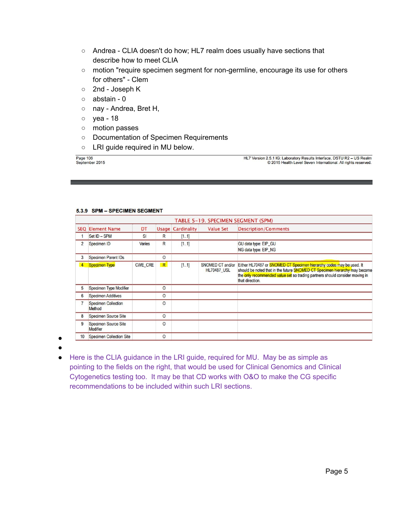- Andrea CLIA doesn't do how; HL7 realm does usually have sections that describe how to meet CLIA
- motion "require specimen segment for non-germline, encourage its use for others for others" - Clem
- 2nd Joseph K
- abstain 0
- o nay Andrea, Bret H,
- yea 18
- motion passes
- Documentation of Specimen Requirements
- LRI guide required in MU below.

Page 106 September 2015 HL7 Version 2.5.1 IG: Laboratory Results Interface, DSTU R2 - US Realm © 2015 Health Level Seven International. All rights reserved.

#### 5.3.9 SPM - SPECIMEN SEGMENT

|                | TABLE 5-19. SPECIMEN SEGMENT (SPM)      |                |              |                          |                                        |                                                                                                                                                                                                                                                       |  |  |  |  |
|----------------|-----------------------------------------|----------------|--------------|--------------------------|----------------------------------------|-------------------------------------------------------------------------------------------------------------------------------------------------------------------------------------------------------------------------------------------------------|--|--|--|--|
|                | <b>SEQ Element Name</b>                 | DT             |              | <b>Usage Cardinality</b> | <b>Value Set</b>                       | <b>Description/Comments</b>                                                                                                                                                                                                                           |  |  |  |  |
|                | Set ID - SPM                            | SI             | R            | [11]                     |                                        |                                                                                                                                                                                                                                                       |  |  |  |  |
| $\overline{2}$ | Specimen ID                             | Varies         | $\mathsf{R}$ | [11]                     |                                        | GU data type: EIP_GU<br>NG data type: EIP_NG                                                                                                                                                                                                          |  |  |  |  |
| 3              | <b>Specimen Parent IDs</b>              |                | $\circ$      |                          |                                        |                                                                                                                                                                                                                                                       |  |  |  |  |
| $\overline{4}$ | <b>Specimen Type</b>                    | <b>CWE CRE</b> | R            | [11]                     | SNOMED CT and/or<br><b>HL70487 USL</b> | Either HL70487 or SNOMED CT Specimen hierarchy codes may be used. It<br>should be noted that in the future SNOMED CT Specimen hierarchy may become<br>the only recommended value set so trading partners should consider moving in<br>that direction. |  |  |  |  |
| 5              | <b>Specimen Type Modifier</b>           |                | $\circ$      |                          |                                        |                                                                                                                                                                                                                                                       |  |  |  |  |
| 6              | <b>Specimen Additives</b>               |                | 0            |                          |                                        |                                                                                                                                                                                                                                                       |  |  |  |  |
|                | <b>Specimen Collection</b><br>Method    |                | $\circ$      |                          |                                        |                                                                                                                                                                                                                                                       |  |  |  |  |
| 8              | <b>Specimen Source Site</b>             |                | $\circ$      |                          |                                        |                                                                                                                                                                                                                                                       |  |  |  |  |
| 9              | <b>Specimen Source Site</b><br>Modifier |                | O            |                          |                                        |                                                                                                                                                                                                                                                       |  |  |  |  |
| 10             | <b>Specimen Collection Site</b>         |                | $\circ$      |                          |                                        |                                                                                                                                                                                                                                                       |  |  |  |  |

● ●

> ● Here is the CLIA guidance in the LRI guide, required for MU. May be as simple as pointing to the fields on the right, that would be used for Clinical Genomics and Clinical Cytogenetics testing too. It may be that CD works with O&O to make the CG specific recommendations to be included within such LRI sections.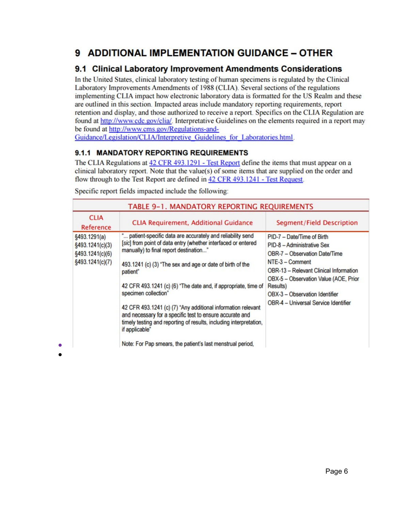## 9 ADDITIONAL IMPLEMENTATION GUIDANCE - OTHER

### 9.1 Clinical Laboratory Improvement Amendments Considerations

In the United States, clinical laboratory testing of human specimens is regulated by the Clinical Laboratory Improvements Amendments of 1988 (CLIA). Several sections of the regulations implementing CLIA impact how electronic laboratory data is formatted for the US Realm and these are outlined in this section. Impacted areas include mandatory reporting requirements, report retention and display, and those authorized to receive a report. Specifics on the CLIA Regulation are found at http://www.cdc.gov/clia/. Interpretative Guidelines on the elements required in a report may be found at http://www.cms.gov/Regulations-and-

Guidance/Legislation/CLIA/Interpretive Guidelines for Laboratories.html.

### 9.1.1 MANDATORY REPORTING REQUIREMENTS

The CLIA Regulations at 42 CFR 493.1291 - Test Report define the items that must appear on a clinical laboratory report. Note that the value(s) of some items that are supplied on the order and flow through to the Test Report are defined in 42 CFR 493.1241 - Test Request.

| TABLE 9-1. MANDATORY REPORTING REQUIREMENTS                                                                                                                                                                                                                                                                                                                                                                                                                                                                                                                   |                                                                                                                                                                                                                                                                                                             |  |  |  |  |  |
|---------------------------------------------------------------------------------------------------------------------------------------------------------------------------------------------------------------------------------------------------------------------------------------------------------------------------------------------------------------------------------------------------------------------------------------------------------------------------------------------------------------------------------------------------------------|-------------------------------------------------------------------------------------------------------------------------------------------------------------------------------------------------------------------------------------------------------------------------------------------------------------|--|--|--|--|--|
| <b>CLIA Requirement, Additional Guidance</b>                                                                                                                                                                                                                                                                                                                                                                                                                                                                                                                  | <b>Segment/Field Description</b>                                                                                                                                                                                                                                                                            |  |  |  |  |  |
| " patient-specific data are accurately and reliability send<br>[sic] from point of data entry (whether interfaced or entered<br>manually) to final report destination"<br>493.1241 (c) (3) "The sex and age or date of birth of the<br>patient"<br>42 CFR 493.1241 (c) (6) "The date and, if appropriate, time of<br>specimen collection"<br>42 CFR 493.1241 (c) (7) "Any additional information relevant<br>and necessary for a specific test to ensure accurate and<br>timely testing and reporting of results, including interpretation,<br>if applicable" | PID-7 - Date/Time of Birth<br>PID-8 - Administrative Sex<br><b>OBR-7 - Observation Date/Time</b><br>NTE-3 - Comment<br><b>OBR-13 - Relevant Clinical Information</b><br>OBX-5 - Observation Value (AOE, Prior<br><b>Results</b> )<br>OBX-3 - Observation Identifier<br>OBR-4 - Universal Service Identifier |  |  |  |  |  |
|                                                                                                                                                                                                                                                                                                                                                                                                                                                                                                                                                               | Note: For Pap smears, the patient's last menstrual period,                                                                                                                                                                                                                                                  |  |  |  |  |  |

Specific report fields impacted include the following: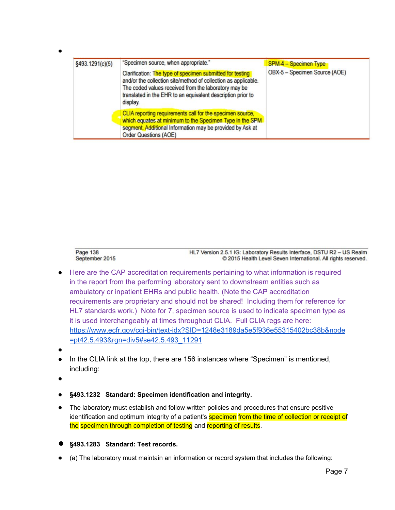| §493.1291(c)(5) | "Specimen source, when appropriate."                                                                                                                                                                                                                           | <b>SPM-4 - Specimen Type</b>  |  |
|-----------------|----------------------------------------------------------------------------------------------------------------------------------------------------------------------------------------------------------------------------------------------------------------|-------------------------------|--|
|                 | Clarification: The type of specimen submitted for testing<br>and/or the collection site/method of collection as applicable.<br>The coded values received from the laboratory may be<br>translated in the EHR to an equivalent description prior to<br>display. | OBX-5 - Specimen Source (AOE) |  |
|                 | CLIA reporting requirements call for the specimen source,<br>which equates at minimum to the Specimen Type in the SPM<br>segment. Additional Information may be provided by Ask at<br><b>Order Questions (AOE)</b>                                             |                               |  |

Page 138 HL7 Version 2.5.1 IG: Laboratory Results Interface, DSTU R2 - US Realm September 2015 © 2015 Health Level Seven International. All rights reserved.

- Here are the CAP accreditation requirements pertaining to what information is required in the report from the performing laboratory sent to downstream entities such as ambulatory or inpatient EHRs and public health. (Note the CAP accreditation requirements are proprietary and should not be shared! Including them for reference for HL7 standards work.) Note for 7, specimen source is used to indicate specimen type as it is used interchangeably at times throughout CLIA. Full CLIA regs are here: [https://www.ecfr.gov/cgi-bin/text-idx?SID=1248e3189da5e5f936e55315402bc38b&node](https://www.ecfr.gov/cgi-bin/text-idx?SID=1248e3189da5e5f936e55315402bc38b&node=pt42.5.493&rgn=div5#se42.5.493_11291) [=pt42.5.493&rgn=div5#se42.5.493\\_11291](https://www.ecfr.gov/cgi-bin/text-idx?SID=1248e3189da5e5f936e55315402bc38b&node=pt42.5.493&rgn=div5#se42.5.493_11291)
- ●

●

- In the CLIA link at the top, there are 156 instances where "Specimen" is mentioned, including:
- ●
- **§493.1232 Standard: Specimen identification and integrity.**
- The laboratory must establish and follow written policies and procedures that ensure positive identification and optimum integrity of a patient's **specimen from the time of collection or receipt of** the specimen through completion of testing and reporting of results.
- **§493.1283 Standard: Test records.**
- (a) The laboratory must maintain an information or record system that includes the following: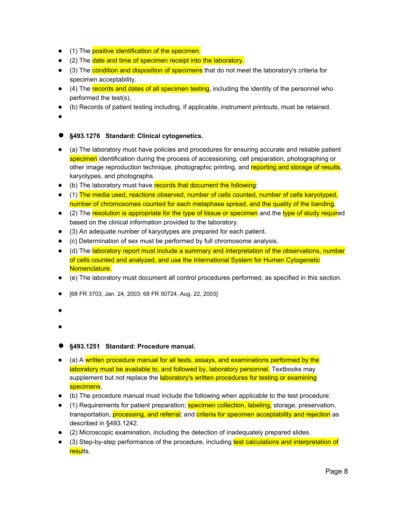- (1) The positive identification of the specimen.
- (2) The date and time of specimen receipt into the laboratory.
- (3) The condition and disposition of specimens that do not meet the laboratory's criteria for specimen acceptability.
- (4) The records and dates of all specimen testing, including the identity of the personnel who performed the test(s).
- (b) Records of patient testing including, if applicable, instrument printouts, must be retained.
- ●

#### ● **§493.1276 Standard: Clinical cytogenetics.**

- (a) The laboratory must have policies and procedures for ensuring accurate and reliable patient specimen identification during the process of accessioning, cell preparation, photographing or other image reproduction technique, photographic printing, and reporting and storage of results, karyotypes, and photographs.
- (b) The laboratory must have records that document the following:
- (1) The media used, reactions observed, number of cells counted, number of cells karyotyped, number of chromosomes counted for each metaphase spread, and the quality of the banding.
- (2) The resolution is appropriate for the type of tissue or specimen and the type of study required based on the clinical information provided to the laboratory.
- (3) An adequate number of karyotypes are prepared for each patient.
- (c) Determination of sex must be performed by full chromosome analysis.
- (d) The laboratory report must include a summary and interpretation of the observations, number of cells counted and analyzed, and use the International System for Human Cytogenetic Nomenclature.
- (e) The laboratory must document all control procedures performed, as specified in this section.
- [68 FR 3703, Jan. 24, 2003; 68 FR 50724, Aug. 22, 2003]
- ●
- ●
- **§493.1251 Standard: Procedure manual.**
- (a) A written procedure manual for all tests, assays, and examinations performed by the laboratory must be available to, and followed by, laboratory personnel. Textbooks may supplement but not replace the laboratory's written procedures for testing or examining specimens.
- (b) The procedure manual must include the following when applicable to the test procedure:
- (1) Requirements for patient preparation; **specimen collection, labeling**, storage, preservation, transportation, processing, and referral; and criteria for specimen acceptability and rejection as described in §493.1242.
- (2) Microscopic examination, including the detection of inadequately prepared slides.
- (3) Step-by-step performance of the procedure, including test calculations and interpretation of results.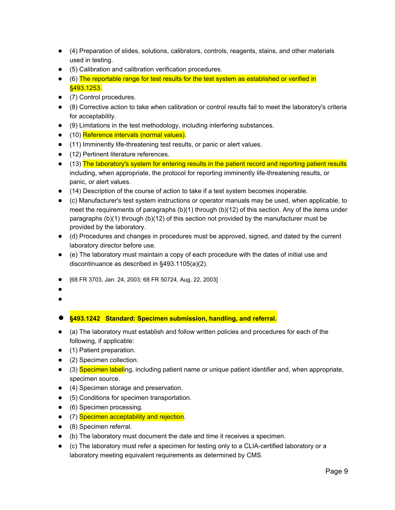- (4) Preparation of slides, solutions, calibrators, controls, reagents, stains, and other materials used in testing.
- (5) Calibration and calibration verification procedures.
- (6) The reportable range for test results for the test system as established or verified in §493.1253.
- (7) Control procedures.
- (8) Corrective action to take when calibration or control results fail to meet the laboratory's criteria for acceptability.
- (9) Limitations in the test methodology, including interfering substances.
- (10) Reference intervals (normal values).
- (11) Imminently life-threatening test results, or panic or alert values.
- (12) Pertinent literature references.
- (13) The laboratory's system for entering results in the patient record and reporting patient results including, when appropriate, the protocol for reporting imminently life-threatening results, or panic, or alert values.
- (14) Description of the course of action to take if a test system becomes inoperable.
- (c) Manufacturer's test system instructions or operator manuals may be used, when applicable, to meet the requirements of paragraphs (b)(1) through (b)(12) of this section. Any of the items under paragraphs (b)(1) through (b)(12) of this section not provided by the manufacturer must be provided by the laboratory.
- (d) Procedures and changes in procedures must be approved, signed, and dated by the current laboratory director before use.
- (e) The laboratory must maintain a copy of each procedure with the dates of initial use and discontinuance as described in §493.1105(a)(2).
- [68 FR 3703, Jan. 24, 2003; 68 FR 50724, Aug. 22, 2003]
- ●
- ●

#### ● **§493.1242 Standard: Specimen submission, handling, and referral.**

- (a) The laboratory must establish and follow written policies and procedures for each of the following, if applicable:
- (1) Patient preparation.
- (2) Specimen collection.
- (3) Specimen labeling, including patient name or unique patient identifier and, when appropriate, specimen source.
- (4) Specimen storage and preservation.
- (5) Conditions for specimen transportation.
- (6) Specimen processing.
- (7) Specimen acceptability and rejection.
- (8) Specimen referral.
- (b) The laboratory must document the date and time it receives a specimen.
- (c) The laboratory must refer a specimen for testing only to a CLIA-certified laboratory or a laboratory meeting equivalent requirements as determined by CMS.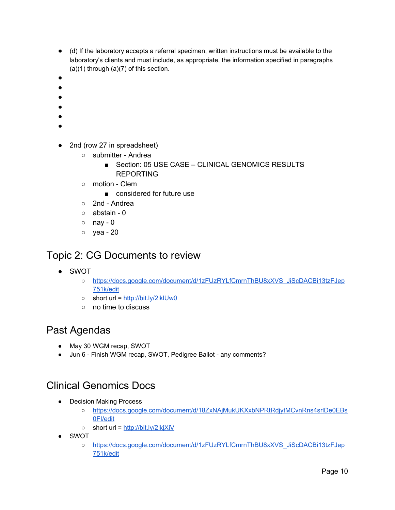- (d) If the laboratory accepts a referral specimen, written instructions must be available to the laboratory's clients and must include, as appropriate, the information specified in paragraphs  $(a)(1)$  through  $(a)(7)$  of this section.
- ●
- ●
- ●
- ●
- ●
- ●
- 2nd (row 27 in spreadsheet)
	- submitter Andrea
		- Section: 05 USE CASE CLINICAL GENOMICS RESULTS REPORTING
	- motion Clem
		- considered for future use
	- 2nd Andrea
	- abstain 0
	- $\circ$  nay 0
	- yea 20

# <span id="page-9-2"></span>Topic 2: CG Documents to review

- SWOT
	- [https://docs.google.com/document/d/1zFUzRYLfCmrnThBU8xXVS\\_JiScDACBi13tzFJep](https://docs.google.com/document/d/1zFUzRYLfCmrnThBU8xXVS_JiScDACBi13tzFJep751k/edit) [751k/edit](https://docs.google.com/document/d/1zFUzRYLfCmrnThBU8xXVS_JiScDACBi13tzFJep751k/edit)
	- short url = <http://bit.ly/2iklUw0>
	- no time to discuss

### <span id="page-9-1"></span>Past Agendas

- May 30 WGM recap, SWOT
- Jun 6 Finish WGM recap, SWOT, Pedigree Ballot any comments?

# <span id="page-9-0"></span>Clinical Genomics Docs

- Decision Making Process
	- [https://docs.google.com/document/d/18ZxNAjMukUKXxbNPRtRdjytMCvnRns4srlDe0EBs](https://docs.google.com/document/d/18ZxNAjMukUKXxbNPRtRdjytMCvnRns4srlDe0EBs0FI/edit) [0FI/edit](https://docs.google.com/document/d/18ZxNAjMukUKXxbNPRtRdjytMCvnRns4srlDe0EBs0FI/edit)
	- short url = <http://bit.ly/2ikjXiV>
- SWOT
	- [https://docs.google.com/document/d/1zFUzRYLfCmrnThBU8xXVS\\_JiScDACBi13tzFJep](https://docs.google.com/document/d/1zFUzRYLfCmrnThBU8xXVS_JiScDACBi13tzFJep751k/edit) [751k/edit](https://docs.google.com/document/d/1zFUzRYLfCmrnThBU8xXVS_JiScDACBi13tzFJep751k/edit)